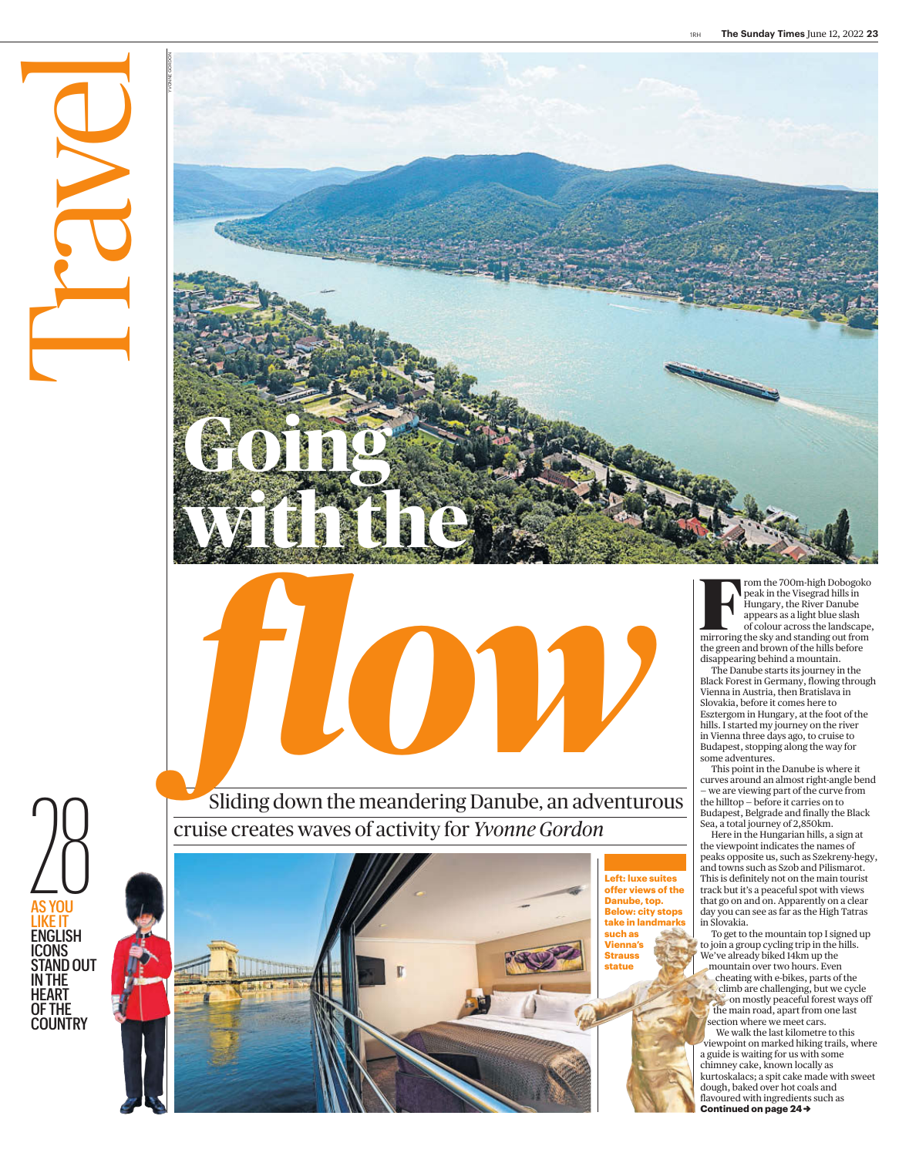







Sliding down the meandering Danube, an adventurous cruise creates waves of activity for *Yvonne Gordon*

> **Left: luxe suites offer views of the Danube, top. Below: city stops take in landmarks such as Vienna's Strauss statue**

France Colour across the landscape, and the landscape, the landscape, and the landscape, and the landscape, and the landscape,  $\frac{1}{2}$ rom the 700m-high Dobogoko peak in the Visegrad hills in Hungary, the River Danube appears as a light blue slash mirroring the sky and standing out from the green and brown of the hills before disappearing behind a mountain.

The Danube starts its journey in the Black Forest in Germany, flowing through Vienna in Austria, then Bratislava in Slovakia, before it comes here to Esztergom in Hungary, at the foot of the hills. I started my journey on the river in Vienna three days ago, to cruise to Budapest, stopping along the way for some adventures.

This point in the Danube is where it curves around an almost right-angle bend — we are viewing part of the curve from the hilltop — before it carries on to Budapest, Belgrade and finally the Black Sea, a total journey of 2,850km.

Here in the Hungarian hills, a sign at the viewpoint indicates the names of peaks opposite us, such as Szekreny-hegy, and towns such as Szob and Pilismarot. This is definitely not on the main tourist track but it's a peaceful spot with views that go on and on. Apparently on a clear day you can see as far as the High Tatras in Slovakia.

To get to the mountain top I signed up to join a group cycling trip in the hills. We've already biked 14km up the

mountain over two hours. Even cheating with e-bikes, parts of the climb are challenging, but we cycle on mostly peaceful forest ways off the main road, apart from one last section where we meet cars. We walk the last kilometre to this viewpoint on marked hiking trails, where a guide is waiting for us with some chimney cake, known locally as

**Continued on page 24→** kurtoskalacs; a spit cake made with sweet dough, baked over hot coals and flavoured with ingredients such as